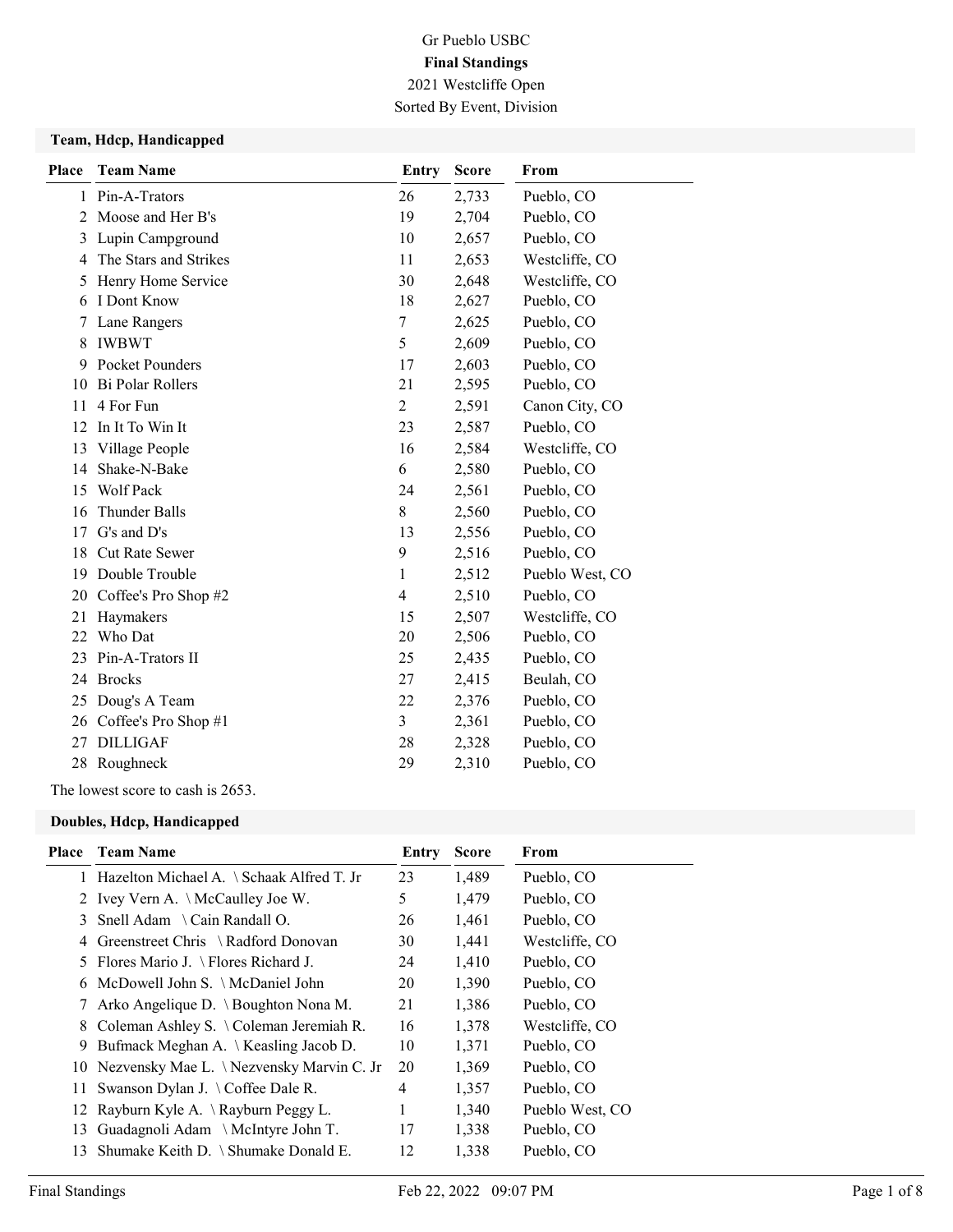### Team, Hdcp, Handicapped

| <b>Place</b> | <b>Team Name</b>      | <b>Entry</b>   | <b>Score</b> | From            |
|--------------|-----------------------|----------------|--------------|-----------------|
| 1            | Pin-A-Trators         | 26             | 2,733        | Pueblo, CO      |
| 2            | Moose and Her B's     | 19             | 2,704        | Pueblo, CO      |
| 3            | Lupin Campground      | 10             | 2,657        | Pueblo, CO      |
| 4            | The Stars and Strikes | 11             | 2,653        | Westcliffe, CO  |
| 5            | Henry Home Service    | 30             | 2,648        | Westcliffe, CO  |
| 6            | I Dont Know           | 18             | 2,627        | Pueblo, CO      |
| 7            | Lane Rangers          | 7              | 2,625        | Pueblo, CO      |
| 8            | <b>IWBWT</b>          | 5              | 2,609        | Pueblo, CO      |
| 9            | Pocket Pounders       | 17             | 2,603        | Pueblo, CO      |
| 10           | Bi Polar Rollers      | 21             | 2,595        | Pueblo, CO      |
| 11           | 4 For Fun             | $\overline{c}$ | 2,591        | Canon City, CO  |
| 12           | In It To Win It       | 23             | 2,587        | Pueblo, CO      |
| 13           | Village People        | 16             | 2,584        | Westcliffe, CO  |
| 14           | Shake-N-Bake          | 6              | 2,580        | Pueblo, CO      |
| 15           | Wolf Pack             | 24             | 2,561        | Pueblo, CO      |
| 16           | <b>Thunder Balls</b>  | 8              | 2,560        | Pueblo, CO      |
| 17           | $G's$ and $D's$       | 13             | 2,556        | Pueblo, CO      |
| 18           | <b>Cut Rate Sewer</b> | 9              | 2,516        | Pueblo, CO      |
| 19           | Double Trouble        | 1              | 2,512        | Pueblo West, CO |
| 20           | Coffee's Pro Shop #2  | 4              | 2,510        | Pueblo, CO      |
| 21           | Haymakers             | 15             | 2,507        | Westcliffe, CO  |
| 22           | Who Dat               | 20             | 2,506        | Pueblo, CO      |
| 23           | Pin-A-Trators II      | 25             | 2,435        | Pueblo, CO      |
| 24           | <b>Brocks</b>         | 27             | 2,415        | Beulah, CO      |
| 25           | Doug's A Team         | 22             | 2,376        | Pueblo, CO      |
| 26           | Coffee's Pro Shop #1  | 3              | 2,361        | Pueblo, CO      |
| 27           | <b>DILLIGAF</b>       | 28             | 2,328        | Pueblo, CO      |
| 28           | Roughneck             | 29             | 2,310        | Pueblo, CO      |
|              |                       |                |              |                 |

The lowest score to cash is 2653.

### Doubles, Hdcp, Handicapped

| Place | <b>Team Name</b>                                  | Entry | <b>Score</b> | From            |
|-------|---------------------------------------------------|-------|--------------|-----------------|
|       | 1 Hazelton Michael A. \ Schaak Alfred T. Jr       | 23    | 1,489        | Pueblo, CO      |
|       | 2 Ivey Vern A. \McCaulley Joe W.                  | 5     | 1,479        | Pueblo, CO      |
| 3     | Snell Adam \ Cain Randall O.                      | 26    | 1,461        | Pueblo, CO      |
| 4     | Greenstreet Chris \ Radford Donovan               | 30    | 1,441        | Westcliffe, CO  |
|       | 5 Flores Mario J. \ Flores Richard J.             | 24    | 1,410        | Pueblo, CO      |
| 6     | McDowell John S. \ McDaniel John                  | 20    | 1,390        | Pueblo, CO      |
| 7     | Arko Angelique D. \ Boughton Nona M.              | 21    | 1,386        | Pueblo, CO      |
| 8     | Coleman Ashley S. $\setminus$ Coleman Jeremiah R. | 16    | 1,378        | Westcliffe, CO  |
| 9.    | Bufmack Meghan A. $\setminus$ Keasling Jacob D.   | 10    | 1,371        | Pueblo, CO      |
|       | 10 Nezvensky Mae L. \Nezvensky Marvin C. Jr       | 20    | 1,369        | Pueblo, CO      |
| 11.   | Swanson Dylan J. \Coffee Dale R.                  | 4     | 1,357        | Pueblo, CO      |
|       | 12 Rayburn Kyle A. \Rayburn Peggy L.              |       | 1,340        | Pueblo West, CO |
| 13    | Guadagnoli Adam \ McIntyre John T.                | 17    | 1,338        | Pueblo, CO      |
| 13    | Shumake Keith D. \ Shumake Donald E.              | 12    | 1,338        | Pueblo, CO      |
|       |                                                   |       |              |                 |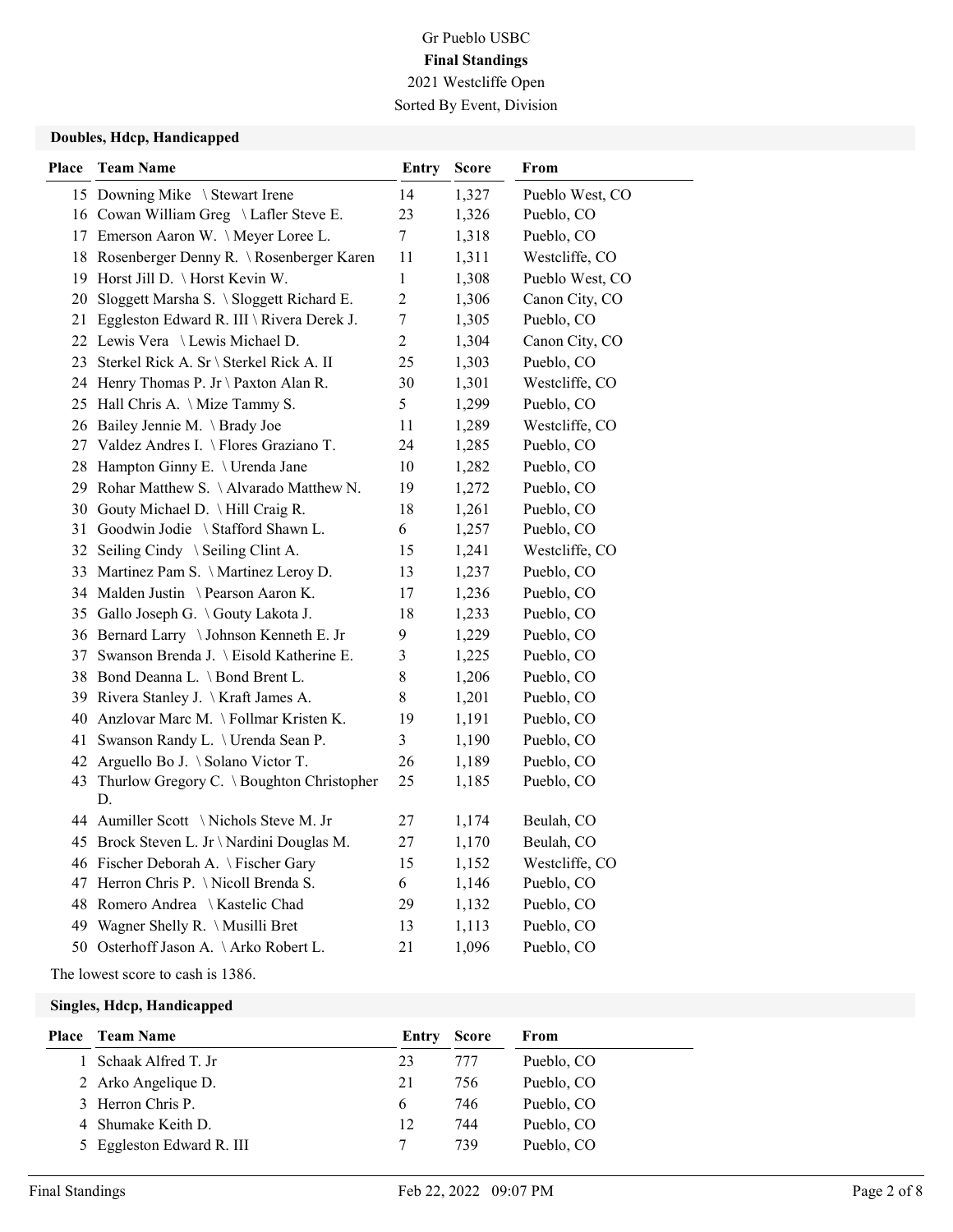#### Doubles, Hdcp, Handicapped

| Place | <b>Team Name</b>                                   | <b>Entry</b>            | <b>Score</b> | From            |
|-------|----------------------------------------------------|-------------------------|--------------|-----------------|
|       | 15 Downing Mike \ Stewart Irene                    | 14                      | 1,327        | Pueblo West, CO |
|       | 16 Cowan William Greg \ Lafler Steve E.            | 23                      | 1,326        | Pueblo, CO      |
|       | 17 Emerson Aaron W. \Meyer Loree L.                | 7                       | 1,318        | Pueblo, CO      |
|       | 18 Rosenberger Denny R. \ Rosenberger Karen        | 11                      | 1,311        | Westcliffe, CO  |
|       | 19 Horst Jill D. \ Horst Kevin W.                  | 1                       | 1,308        | Pueblo West, CO |
|       | 20 Sloggett Marsha S. \ Sloggett Richard E.        | $\overline{c}$          | 1,306        | Canon City, CO  |
|       | 21 Eggleston Edward R. III \ Rivera Derek J.       | $\boldsymbol{7}$        | 1,305        | Pueblo, CO      |
|       | 22 Lewis Vera \Lewis Michael D.                    | $\overline{c}$          | 1,304        | Canon City, CO  |
|       | 23 Sterkel Rick A. Sr \ Sterkel Rick A. II         | 25                      | 1,303        | Pueblo, CO      |
|       | 24 Henry Thomas P. Jr \ Paxton Alan R.             | 30                      | 1,301        | Westcliffe, CO  |
|       | 25 Hall Chris A. \ Mize Tammy S.                   | 5                       | 1,299        | Pueblo, CO      |
|       | 26 Bailey Jennie M. \Brady Joe                     | 11                      | 1,289        | Westcliffe, CO  |
|       | 27 Valdez Andres I. \ Flores Graziano T.           | 24                      | 1,285        | Pueblo, CO      |
|       | 28 Hampton Ginny E. \ Urenda Jane                  | 10                      | 1,282        | Pueblo, CO      |
|       | 29 Rohar Matthew S. \Alvarado Matthew N.           | 19                      | 1,272        | Pueblo, CO      |
|       | 30 Gouty Michael D. \ Hill Craig R.                | 18                      | 1,261        | Pueblo, CO      |
|       | 31 Goodwin Jodie \ Stafford Shawn L.               | 6                       | 1,257        | Pueblo, CO      |
|       | 32 Seiling Cindy \ Seiling Clint A.                | 15                      | 1,241        | Westcliffe, CO  |
|       | 33 Martinez Pam S. \ Martinez Leroy D.             | 13                      | 1,237        | Pueblo, CO      |
|       | 34 Malden Justin \ Pearson Aaron K.                | 17                      | 1,236        | Pueblo, CO      |
|       | 35 Gallo Joseph G. \Gouty Lakota J.                | 18                      | 1,233        | Pueblo, CO      |
|       | 36 Bernard Larry \Johnson Kenneth E. Jr            | 9                       | 1,229        | Pueblo, CO      |
|       | 37 Swanson Brenda J. \ Eisold Katherine E.         | $\mathfrak{Z}$          | 1,225        | Pueblo, CO      |
|       | 38 Bond Deanna L. \Bond Brent L.                   | 8                       | 1,206        | Pueblo, CO      |
|       | 39 Rivera Stanley J. \Kraft James A.               | 8                       | 1,201        | Pueblo, CO      |
|       | 40 Anzlovar Marc M. \Follmar Kristen K.            | 19                      | 1,191        | Pueblo, CO      |
|       | 41 Swanson Randy L. \ Urenda Sean P.               | $\overline{\mathbf{3}}$ | 1,190        | Pueblo, CO      |
|       | 42 Arguello Bo J. \ Solano Victor T.               | 26                      | 1,189        | Pueblo, CO      |
|       | 43 Thurlow Gregory C. \ Boughton Christopher<br>D. | 25                      | 1,185        | Pueblo, CO      |
|       | 44 Aumiller Scott \Nichols Steve M. Jr             | 27                      | 1,174        | Beulah, CO      |
|       | 45 Brock Steven L. Jr \ Nardini Douglas M.         | 27                      | 1,170        | Beulah, CO      |
|       | 46 Fischer Deborah A. \Fischer Gary                | 15                      | 1,152        | Westcliffe, CO  |
|       | 47 Herron Chris P. \Nicoll Brenda S.               | 6                       | 1,146        | Pueblo, CO      |
|       | 48 Romero Andrea \ Kastelic Chad                   | 29                      | 1,132        | Pueblo, CO      |
|       | 49 Wagner Shelly R. \ Musilli Bret                 | 13                      | 1,113        | Pueblo, CO      |
|       | 50 Osterhoff Jason A. \Arko Robert L.              | 21                      | 1,096        | Pueblo, CO      |

The lowest score to cash is 1386.

#### Singles, Hdcp, Handicapped

| <b>Place</b> Team Name    | Entry | <b>Score</b> | From       |
|---------------------------|-------|--------------|------------|
| Schaak Alfred T. Jr       | 23    | 777          | Pueblo, CO |
| 2 Arko Angelique D.       | 21    | 756          | Pueblo, CO |
| 3 Herron Chris P.         | 6     | 746          | Pueblo, CO |
| 4 Shumake Keith D.        | 12    | 744          | Pueblo, CO |
| 5 Eggleston Edward R. III |       | 739          | Pueblo, CO |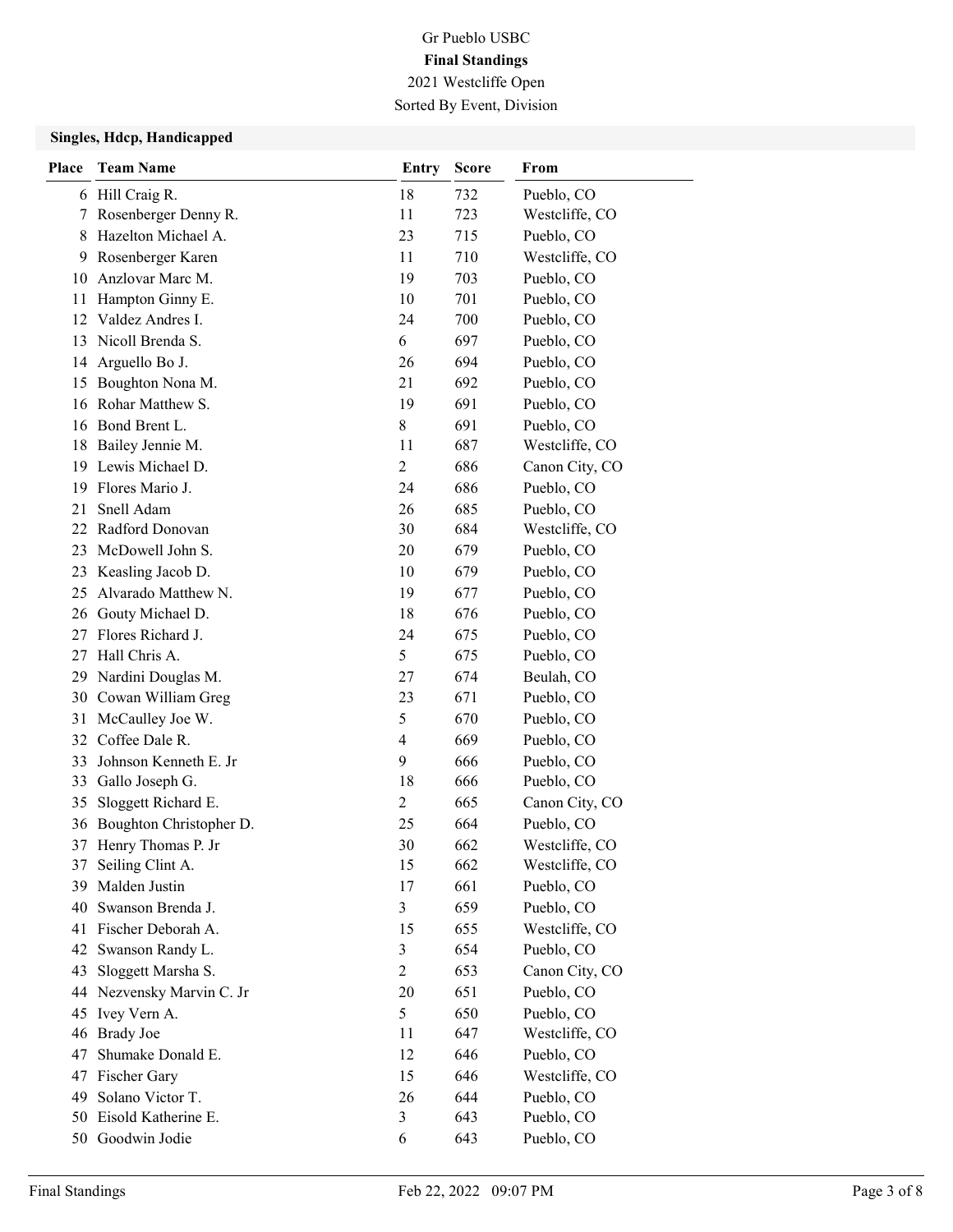### Singles, Hdcp, Handicapped

| Place | <b>Team Name</b>                          | <b>Entry</b>   | <b>Score</b> | From                     |
|-------|-------------------------------------------|----------------|--------------|--------------------------|
|       | 6 Hill Craig R.                           | 18             | 732          | Pueblo, CO               |
| 7     | Rosenberger Denny R.                      | 11             | 723          | Westcliffe, CO           |
| 8     | Hazelton Michael A.                       | 23             | 715          | Pueblo, CO               |
| 9     | Rosenberger Karen                         | 11             | 710          | Westcliffe, CO           |
| 10    | Anzlovar Marc M.                          | 19             | 703          | Pueblo, CO               |
| 11    | Hampton Ginny E.                          | 10             | 701          | Pueblo, CO               |
| 12    | Valdez Andres I.                          | 24             | 700          | Pueblo, CO               |
| 13    | Nicoll Brenda S.                          | 6              | 697          | Pueblo, CO               |
| 14    | Arguello Bo J.                            | 26             | 694          | Pueblo, CO               |
| 15    | Boughton Nona M.                          | 21             | 692          | Pueblo, CO               |
| 16    | Rohar Matthew S.                          | 19             | 691          | Pueblo, CO               |
| 16    | Bond Brent L.                             | $8\,$          | 691          | Pueblo, CO               |
| 18    | Bailey Jennie M.                          | 11             | 687          | Westcliffe, CO           |
| 19    | Lewis Michael D.                          | $\overline{2}$ | 686          | Canon City, CO           |
| 19    | Flores Mario J.                           | 24             | 686          | Pueblo, CO               |
| 21    | Snell Adam                                | 26             | 685          | Pueblo, CO               |
| 22    | Radford Donovan                           | 30             | 684          | Westcliffe, CO           |
| 23    | McDowell John S.                          | 20             | 679          | Pueblo, CO               |
| 23    | Keasling Jacob D.                         | 10             | 679          | Pueblo, CO               |
| 25    | Alvarado Matthew N.                       | 19             | 677          | Pueblo, CO               |
| 26    | Gouty Michael D.                          | 18             | 676          | Pueblo, CO               |
| 27    | Flores Richard J.                         | 24             | 675          | Pueblo, CO               |
| 27    | Hall Chris A.                             | 5              | 675          | Pueblo, CO               |
| 29    | Nardini Douglas M.                        | 27<br>23       | 674<br>671   | Beulah, CO               |
| 31    | 30 Cowan William Greg<br>McCaulley Joe W. | 5              | 670          | Pueblo, CO<br>Pueblo, CO |
| 32    | Coffee Dale R.                            | 4              | 669          | Pueblo, CO               |
| 33    | Johnson Kenneth E. Jr                     | 9              | 666          | Pueblo, CO               |
| 33    | Gallo Joseph G.                           | 18             | 666          | Pueblo, CO               |
| 35    | Sloggett Richard E.                       | 2              | 665          | Canon City, CO           |
| 36    | Boughton Christopher D.                   | 25             | 664          | Pueblo, CO               |
| 37    | Henry Thomas P. Jr                        | 30             | 662          | Westcliffe, CO           |
| 37    | Seiling Clint A.                          | 15             | 662          | Westcliffe, CO           |
| 39    | Malden Justin                             | 17             | 661          | Pueblo, CO               |
| 40    | Swanson Brenda J.                         | 3              | 659          | Pueblo, CO               |
| 41    | Fischer Deborah A.                        | 15             | 655          | Westcliffe, CO           |
| 42    | Swanson Randy L.                          | 3              | 654          | Pueblo, CO               |
| 43    | Sloggett Marsha S.                        | $\overline{c}$ | 653          | Canon City, CO           |
| 44    | Nezvensky Marvin C. Jr                    | 20             | 651          | Pueblo, CO               |
| 45    | Ivey Vern A.                              | 5              | 650          | Pueblo, CO               |
| 46    | <b>Brady Joe</b>                          | 11             | 647          | Westcliffe, CO           |
| 47    | Shumake Donald E.                         | 12             | 646          | Pueblo, CO               |
| 47    | Fischer Gary                              | 15             | 646          | Westcliffe, CO           |
| 49    | Solano Victor T.                          | 26             | 644          | Pueblo, CO               |
| 50    | Eisold Katherine E.                       | $\mathfrak{Z}$ | 643          | Pueblo, CO               |
| 50    | Goodwin Jodie                             | 6              | 643          | Pueblo, CO               |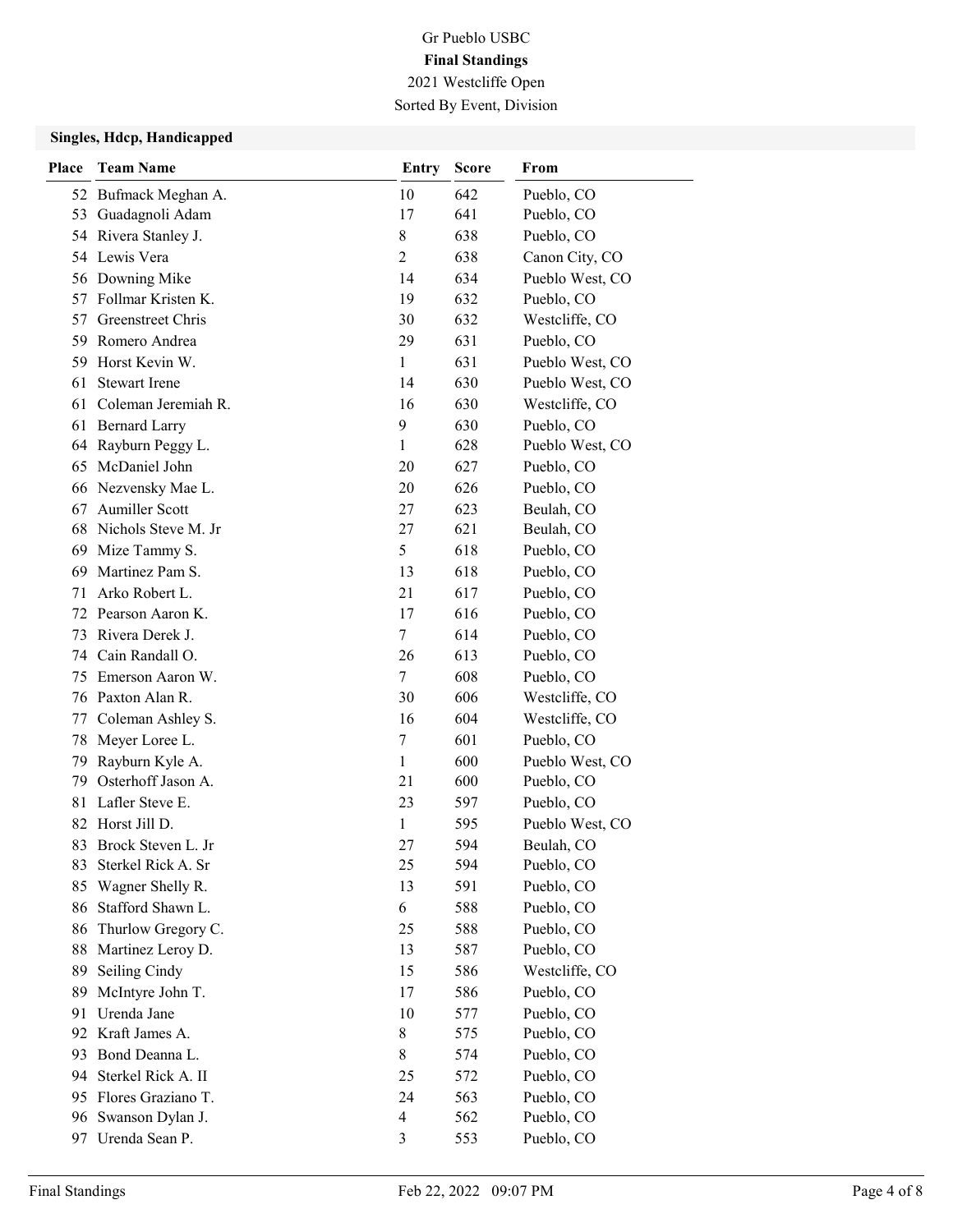### Singles, Hdcp, Handicapped

| Place | <b>Team Name</b>                     | <b>Entry</b>                  | <b>Score</b> | From                     |
|-------|--------------------------------------|-------------------------------|--------------|--------------------------|
|       | 52 Bufmack Meghan A.                 | 10                            | 642          | Pueblo, CO               |
| 53    | Guadagnoli Adam                      | 17                            | 641          | Pueblo, CO               |
|       | 54 Rivera Stanley J.                 | 8                             | 638          | Pueblo, CO               |
|       | 54 Lewis Vera                        | $\overline{2}$                | 638          | Canon City, CO           |
|       | 56 Downing Mike                      | 14                            | 634          | Pueblo West, CO          |
| 57    | Follmar Kristen K.                   | 19                            | 632          | Pueblo, CO               |
| 57    | Greenstreet Chris                    | 30                            | 632          | Westcliffe, CO           |
| 59    | Romero Andrea                        | 29                            | 631          | Pueblo, CO               |
| 59    | Horst Kevin W.                       | $\mathbf{1}$                  | 631          | Pueblo West, CO          |
| 61    | <b>Stewart Irene</b>                 | 14                            | 630          | Pueblo West, CO          |
| 61    | Coleman Jeremiah R.                  | 16                            | 630          | Westcliffe, CO           |
| 61    | <b>Bernard Larry</b>                 | 9                             | 630          | Pueblo, CO               |
| 64    | Rayburn Peggy L.                     | $\mathbf{1}$                  | 628          | Pueblo West, CO          |
| 65    | McDaniel John                        | 20                            | 627          | Pueblo, CO               |
| 66    | Nezvensky Mae L.                     | 20                            | 626          | Pueblo, CO               |
| 67    | <b>Aumiller Scott</b>                | 27                            | 623          | Beulah, CO               |
|       | 68 Nichols Steve M. Jr               | 27                            | 621          | Beulah, CO               |
| 69    | Mize Tammy S.                        | 5                             | 618          | Pueblo, CO               |
| 69    | Martinez Pam S.                      | 13                            | 618          | Pueblo, CO               |
| 71    | Arko Robert L.                       | 21                            | 617          | Pueblo, CO               |
| 72    | Pearson Aaron K.                     | 17                            | 616          | Pueblo, CO               |
| 73    | Rivera Derek J.                      | 7                             | 614          | Pueblo, CO               |
| 74    | Cain Randall O.                      | 26                            | 613          | Pueblo, CO               |
| 75    | Emerson Aaron W.                     | 7                             | 608          | Pueblo, CO               |
|       | 76 Paxton Alan R.                    | 30                            | 606          | Westcliffe, CO           |
| 77    | Coleman Ashley S.                    | 16                            | 604          | Westcliffe, CO           |
| 78    | Meyer Loree L.                       | 7                             | 601          | Pueblo, CO               |
| 79    | Rayburn Kyle A.                      | 1                             | 600          | Pueblo West, CO          |
| 79    | Osterhoff Jason A.                   | 21                            | 600          | Pueblo, CO               |
| 81    | Lafler Steve E.                      | 23                            | 597          | Pueblo, CO               |
| 82    | Horst Jill D.                        | $\mathbf{1}$                  | 595          | Pueblo West, CO          |
| 83    | Brock Steven L. Jr                   | 27                            | 594          | Beulah, CO               |
| 83    | Sterkel Rick A. Sr                   | 25                            | 594          | Pueblo, CO               |
| 85    | Wagner Shelly R.                     | 13                            | 591          | Pueblo, CO               |
| 86    | Stafford Shawn L.                    | 6                             | 588          | Pueblo, CO               |
| 86    | Thurlow Gregory C.                   | 25                            | 588          | Pueblo, CO               |
| 88    | Martinez Leroy D.                    | 13                            | 587          | Pueblo, CO               |
| 89    | Seiling Cindy                        | 15                            | 586          | Westcliffe, CO           |
| 89    | McIntyre John T.                     | 17                            | 586          | Pueblo, CO               |
| 91    | Urenda Jane<br>Kraft James A.        | 10<br>8                       | 577          | Pueblo, CO               |
| 92    |                                      |                               | 575          | Pueblo, CO               |
| 93    | Bond Deanna L.<br>Sterkel Rick A. II | 8                             | 574          | Pueblo, CO<br>Pueblo, CO |
| 94    | Flores Graziano T.                   | 25                            | 572          |                          |
| 95    | 96 Swanson Dylan J.                  | 24<br>$\overline{\mathbf{4}}$ | 563<br>562   | Pueblo, CO<br>Pueblo, CO |
| 97    | Urenda Sean P.                       | $\mathfrak{Z}$                | 553          | Pueblo, CO               |
|       |                                      |                               |              |                          |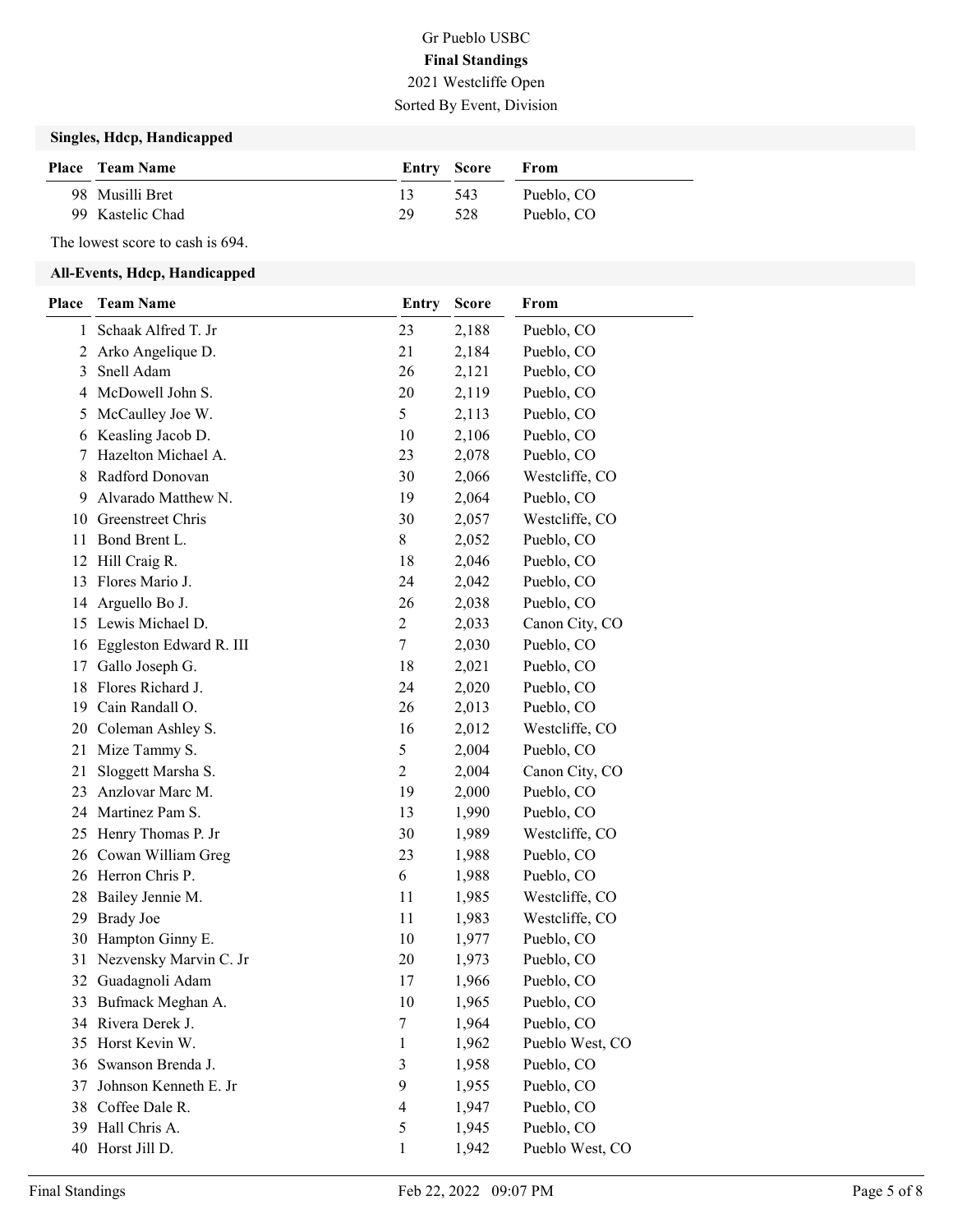#### Singles, Hdcp, Handicapped

| <b>Place</b> Team Name |    | Entry Score | <b>From</b> |
|------------------------|----|-------------|-------------|
| 98 Musilli Bret        |    | 543         | Pueblo, CO  |
| 99 Kastelic Chad       | 29 | 528         | Pueblo, CO  |

The lowest score to cash is 694.

#### All-Events, Hdcp, Handicapped

| Place | <b>Team Name</b>           | <b>Entry</b>   | <b>Score</b> | From            |
|-------|----------------------------|----------------|--------------|-----------------|
| 1     | Schaak Alfred T. Jr        | 23             | 2,188        | Pueblo, CO      |
| 2     | Arko Angelique D.          | 21             | 2,184        | Pueblo, CO      |
| 3     | Snell Adam                 | 26             | 2,121        | Pueblo, CO      |
| 4     | McDowell John S.           | 20             | 2,119        | Pueblo, CO      |
| 5     | McCaulley Joe W.           | 5              | 2,113        | Pueblo, CO      |
| 6     | Keasling Jacob D.          | 10             | 2,106        | Pueblo, CO      |
| 7     | Hazelton Michael A.        | 23             | 2,078        | Pueblo, CO      |
| 8     | Radford Donovan            | 30             | 2,066        | Westcliffe, CO  |
| 9     | Alvarado Matthew N.        | 19             | 2,064        | Pueblo, CO      |
| 10    | Greenstreet Chris          | 30             | 2,057        | Westcliffe, CO  |
| 11    | Bond Brent L.              | 8              | 2,052        | Pueblo, CO      |
| 12    | Hill Craig R.              | 18             | 2,046        | Pueblo, CO      |
| 13    | Flores Mario J.            | 24             | 2,042        | Pueblo, CO      |
| 14    | Arguello Bo J.             | 26             | 2,038        | Pueblo, CO      |
| 15    | Lewis Michael D.           | 2              | 2,033        | Canon City, CO  |
|       | 16 Eggleston Edward R. III | 7              | 2,030        | Pueblo, CO      |
| 17    | Gallo Joseph G.            | 18             | 2,021        | Pueblo, CO      |
| 18    | Flores Richard J.          | 24             | 2,020        | Pueblo, CO      |
| 19    | Cain Randall O.            | 26             | 2,013        | Pueblo, CO      |
| 20    | Coleman Ashley S.          | 16             | 2,012        | Westcliffe, CO  |
| 21    | Mize Tammy S.              | 5              | 2,004        | Pueblo, CO      |
| 21    | Sloggett Marsha S.         | 2              | 2,004        | Canon City, CO  |
| 23    | Anzlovar Marc M.           | 19             | 2,000        | Pueblo, CO      |
| 24    | Martinez Pam S.            | 13             | 1,990        | Pueblo, CO      |
| 25    | Henry Thomas P. Jr         | 30             | 1,989        | Westcliffe, CO  |
| 26    | Cowan William Greg         | 23             | 1,988        | Pueblo, CO      |
| 26    | Herron Chris P.            | 6              | 1,988        | Pueblo, CO      |
| 28    | Bailey Jennie M.           | 11             | 1,985        | Westcliffe, CO  |
| 29    | <b>Brady Joe</b>           | 11             | 1,983        | Westcliffe, CO  |
| 30    | Hampton Ginny E.           | 10             | 1,977        | Pueblo, CO      |
| 31    | Nezvensky Marvin C. Jr     | 20             | 1,973        | Pueblo, CO      |
|       | 32 Guadagnoli Adam         | 17             | 1,966        | Pueblo, CO      |
| 33    | Bufmack Meghan A.          | 10             | 1,965        | Pueblo, CO      |
| 34    | Rivera Derek J.            | 7              | 1,964        | Pueblo, CO      |
| 35    | Horst Kevin W.             | 1              | 1,962        | Pueblo West, CO |
|       | 36 Swanson Brenda J.       | $\mathfrak{Z}$ | 1,958        | Pueblo, CO      |
| 37    | Johnson Kenneth E. Jr      | 9              | 1,955        | Pueblo, CO      |
| 38    | Coffee Dale R.             | 4              | 1,947        | Pueblo, CO      |
| 39.   | Hall Chris A.              | 5              | 1,945        | Pueblo, CO      |
|       | 40 Horst Jill D.           | 1              | 1,942        | Pueblo West, CO |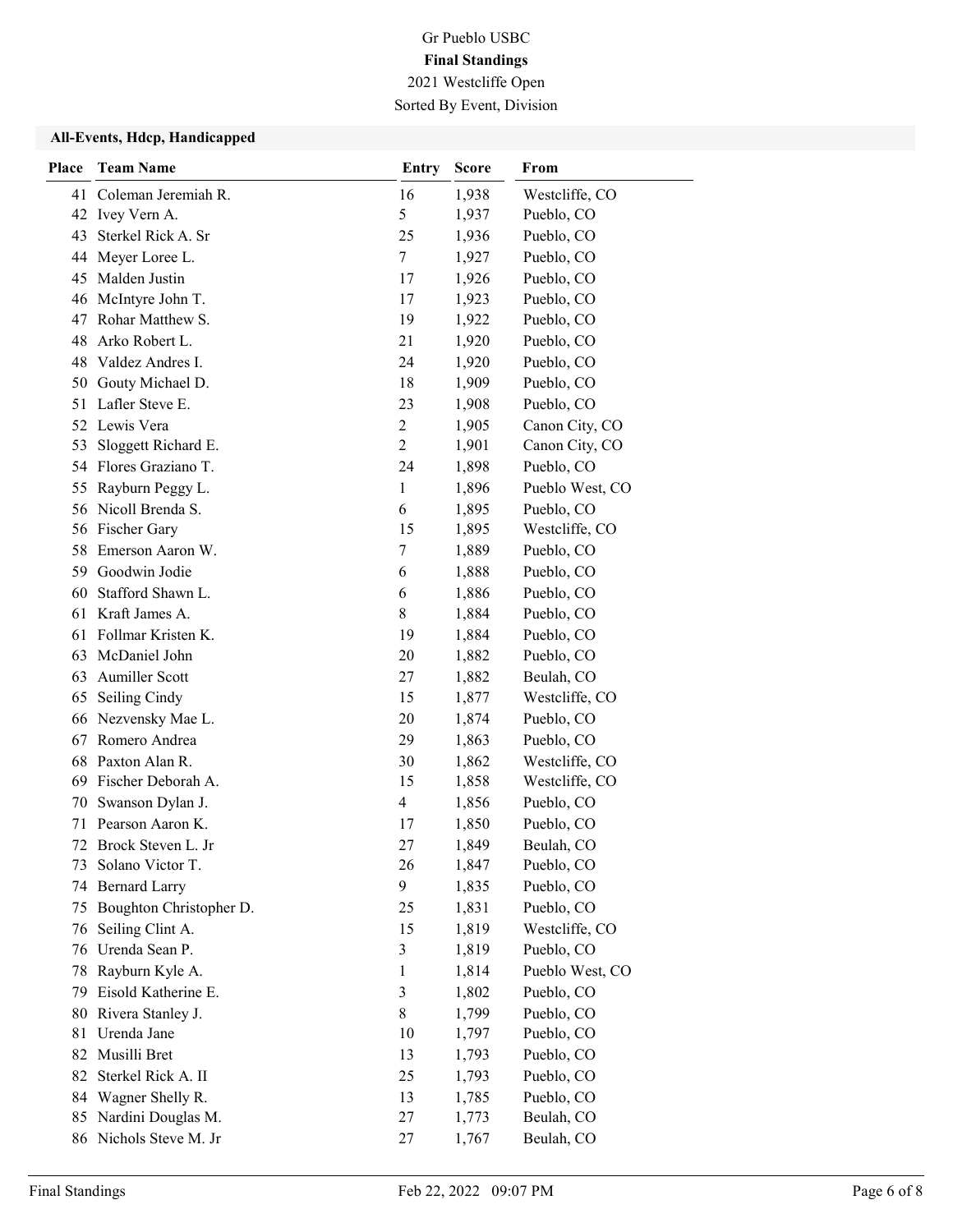#### All-Events, Hdcp, Handicapped

| Place    | <b>Team Name</b>                       | <b>Entry</b>   | <b>Score</b>   | From                     |
|----------|----------------------------------------|----------------|----------------|--------------------------|
|          | 41 Coleman Jeremiah R.                 | 16             | 1,938          | Westcliffe, CO           |
| 42       | Ivey Vern A.                           | 5              | 1,937          | Pueblo, CO               |
| 43       | Sterkel Rick A. Sr                     | 25             | 1,936          | Pueblo, CO               |
| 44       | Meyer Loree L.                         | 7              | 1,927          | Pueblo, CO               |
| 45       | Malden Justin                          | 17             | 1,926          | Pueblo, CO               |
| 46       | McIntyre John T.                       | 17             | 1,923          | Pueblo, CO               |
| 47       | Rohar Matthew S.                       | 19             | 1,922          | Pueblo, CO               |
| 48       | Arko Robert L.                         | 21             | 1,920          | Pueblo, CO               |
| 48       | Valdez Andres I.                       | 24             | 1,920          | Pueblo, CO               |
| 50       | Gouty Michael D.                       | 18             | 1,909          | Pueblo, CO               |
| 51       | Lafler Steve E.                        | 23             | 1,908          | Pueblo, CO               |
| 52       | Lewis Vera                             | $\overline{c}$ | 1,905          | Canon City, CO           |
| 53       | Sloggett Richard E.                    | $\overline{2}$ | 1,901          | Canon City, CO           |
| 54       | Flores Graziano T.                     | 24             | 1,898          | Pueblo, CO               |
| 55       | Rayburn Peggy L.                       | $\mathbf{1}$   | 1,896          | Pueblo West, CO          |
| 56       | Nicoll Brenda S.                       | 6              | 1,895          | Pueblo, CO               |
|          | 56 Fischer Gary                        | 15             | 1,895          | Westcliffe, CO           |
| 58       | Emerson Aaron W.                       | 7              | 1,889          | Pueblo, CO               |
| 59       | Goodwin Jodie                          | 6              | 1,888          | Pueblo, CO               |
| 60       | Stafford Shawn L.                      | 6              | 1,886          | Pueblo, CO               |
| 61       | Kraft James A.                         | 8              | 1,884          | Pueblo, CO               |
| 61       | Follmar Kristen K.                     | 19             | 1,884          | Pueblo, CO               |
| 63       | McDaniel John                          | 20             | 1,882          | Pueblo, CO               |
| 63       | <b>Aumiller Scott</b>                  | 27             | 1,882          | Beulah, CO               |
| 65       | Seiling Cindy                          | 15             | 1,877          | Westcliffe, CO           |
| 66       | Nezvensky Mae L.                       | 20             | 1,874          | Pueblo, CO               |
| 67       | Romero Andrea                          | 29             | 1,863          | Pueblo, CO               |
| 68       | Paxton Alan R.                         | 30             | 1,862          | Westcliffe, CO           |
| 69       | Fischer Deborah A.                     | 15             | 1,858          | Westcliffe, CO           |
| 70       | Swanson Dylan J.                       | 4              | 1,856          | Pueblo, CO               |
| 71       | Pearson Aaron K.                       | 17             | 1,850          | Pueblo, CO               |
| 72       | Brock Steven L. Jr                     | 27             | 1,849          | Beulah, CO               |
| 73       | Solano Victor T.                       | 26             | 1,847          | Pueblo, CO               |
| 74       | <b>Bernard Larry</b>                   | 9              | 1,835          | Pueblo, CO               |
| 75       | Boughton Christopher D.                | 25             | 1,831          | Pueblo, CO               |
| 76       | Seiling Clint A.                       | 15             | 1,819          | Westcliffe, CO           |
| 76       | Urenda Sean P.                         | 3              | 1,819          | Pueblo, CO               |
| 78       | Rayburn Kyle A.<br>Eisold Katherine E. | 1              | 1,814          | Pueblo West, CO          |
| 79       |                                        | 3              | 1,802          | Pueblo, CO               |
| 80       | Rivera Stanley J.                      | 8              | 1,799          | Pueblo, CO               |
| 81       | Urenda Jane<br>Musilli Bret            | 10<br>13       | 1,797          | Pueblo, CO<br>Pueblo, CO |
| 82<br>82 | Sterkel Rick A. II                     | 25             | 1,793          | Pueblo, CO               |
|          | Wagner Shelly R.                       | 13             | 1,793          | Pueblo, CO               |
| 84<br>85 | Nardini Douglas M.                     | 27             | 1,785<br>1,773 | Beulah, CO               |
| 86       | Nichols Steve M. Jr                    |                |                | Beulah, CO               |
|          |                                        | 27             | 1,767          |                          |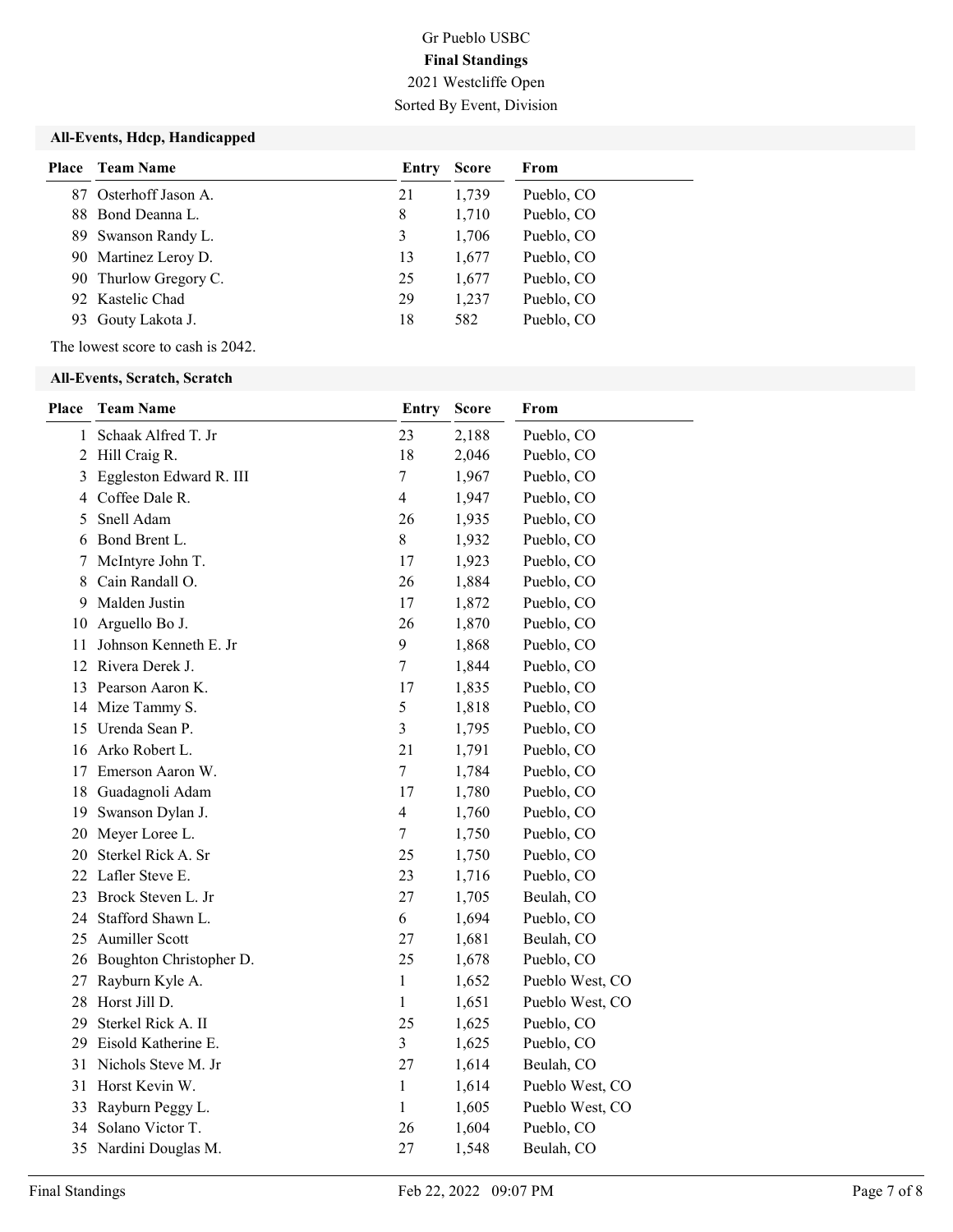#### All-Events, Hdcp, Handicapped

| <b>Place</b> Team Name | Entry | <b>Score</b> | From       |
|------------------------|-------|--------------|------------|
| 87 Osterhoff Jason A.  | 21    | 1,739        | Pueblo, CO |
| 88 Bond Deanna L.      | 8     | 1,710        | Pueblo, CO |
| 89 Swanson Randy L.    | 3     | 1,706        | Pueblo, CO |
| 90 Martinez Leroy D.   | 13    | 1,677        | Pueblo, CO |
| 90 Thurlow Gregory C.  | 25    | 1,677        | Pueblo, CO |
| 92 Kastelic Chad       | 29    | 1,237        | Pueblo, CO |
| 93 Gouty Lakota J.     | 18    | 582          | Pueblo, CO |

The lowest score to cash is 2042.

#### All-Events, Scratch, Scratch

| Place          | <b>Team Name</b>           | Entry            | <b>Score</b> | From            |
|----------------|----------------------------|------------------|--------------|-----------------|
| 1              | Schaak Alfred T. Jr        | 23               | 2,188        | Pueblo, CO      |
| $\overline{2}$ | Hill Craig R.              | 18               | 2,046        | Pueblo, CO      |
| 3              | Eggleston Edward R. III    | $\boldsymbol{7}$ | 1,967        | Pueblo, CO      |
| 4              | Coffee Dale R.             | $\overline{4}$   | 1,947        | Pueblo, CO      |
| 5              | Snell Adam                 | 26               | 1,935        | Pueblo, CO      |
| 6              | Bond Brent L.              | 8                | 1,932        | Pueblo, CO      |
| 7              | McIntyre John T.           | 17               | 1,923        | Pueblo, CO      |
| 8              | Cain Randall O.            | 26               | 1,884        | Pueblo, CO      |
| 9              | Malden Justin              | 17               | 1,872        | Pueblo, CO      |
| 10             | Arguello Bo J.             | 26               | 1,870        | Pueblo, CO      |
| 11             | Johnson Kenneth E. Jr      | 9                | 1,868        | Pueblo, CO      |
| 12             | Rivera Derek J.            | $\tau$           | 1,844        | Pueblo, CO      |
|                | 13 Pearson Aaron K.        | 17               | 1,835        | Pueblo, CO      |
|                | 14 Mize Tammy S.           | $\mathfrak s$    | 1,818        | Pueblo, CO      |
|                | 15 Urenda Sean P.          | $\overline{3}$   | 1,795        | Pueblo, CO      |
|                | 16 Arko Robert L.          | 21               | 1,791        | Pueblo, CO      |
| 17             | Emerson Aaron W.           | $\boldsymbol{7}$ | 1,784        | Pueblo, CO      |
| 18             | Guadagnoli Adam            | 17               | 1,780        | Pueblo, CO      |
|                | 19 Swanson Dylan J.        | $\overline{4}$   | 1,760        | Pueblo, CO      |
| 20             | Meyer Loree L.             | $\boldsymbol{7}$ | 1,750        | Pueblo, CO      |
| 20             | Sterkel Rick A. Sr         | 25               | 1,750        | Pueblo, CO      |
|                | 22 Lafler Steve E.         | 23               | 1,716        | Pueblo, CO      |
| 23             | Brock Steven L. Jr         | 27               | 1,705        | Beulah, CO      |
|                | 24 Stafford Shawn L.       | 6                | 1,694        | Pueblo, CO      |
|                | 25 Aumiller Scott          | 27               | 1,681        | Beulah, CO      |
|                | 26 Boughton Christopher D. | 25               | 1,678        | Pueblo, CO      |
| 27             | Rayburn Kyle A.            | 1                | 1,652        | Pueblo West, CO |
| 28             | Horst Jill D.              | $\mathbf{1}$     | 1,651        | Pueblo West, CO |
| 29             | Sterkel Rick A. II         | 25               | 1,625        | Pueblo, CO      |
| 29             | Eisold Katherine E.        | $\mathfrak{Z}$   | 1,625        | Pueblo, CO      |
| 31             | Nichols Steve M. Jr        | 27               | 1,614        | Beulah, CO      |
|                | 31 Horst Kevin W.          | $\mathbf{1}$     | 1,614        | Pueblo West, CO |
| 33             | Rayburn Peggy L.           | $\mathbf{1}$     | 1,605        | Pueblo West, CO |
| 34             | Solano Victor T.           | 26               | 1,604        | Pueblo, CO      |
|                | 35 Nardini Douglas M.      | 27               | 1,548        | Beulah, CO      |